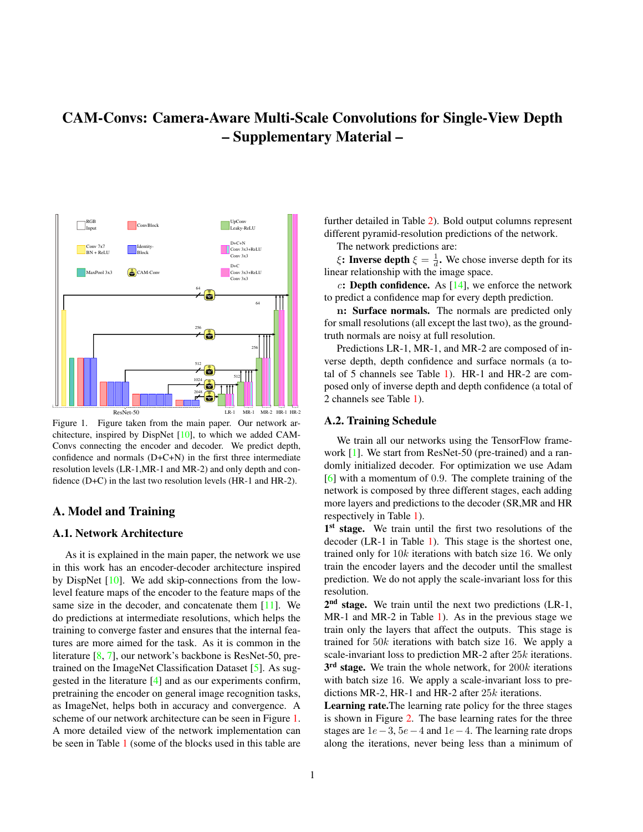# <span id="page-0-1"></span>CAM-Convs: Camera-Aware Multi-Scale Convolutions for Single-View Depth – Supplementary Material –



<span id="page-0-0"></span>Figure 1. Figure taken from the main paper. Our network architecture, inspired by DispNet [\[10\]](#page-9-0), to which we added CAM-Convs connecting the encoder and decoder. We predict depth, confidence and normals (D+C+N) in the first three intermediate resolution levels (LR-1,MR-1 and MR-2) and only depth and confidence (D+C) in the last two resolution levels (HR-1 and HR-2).

# A. Model and Training

# A.1. Network Architecture

As it is explained in the main paper, the network we use in this work has an encoder-decoder architecture inspired by DispNet [\[10\]](#page-9-0). We add skip-connections from the lowlevel feature maps of the encoder to the feature maps of the same size in the decoder, and concatenate them  $[11]$ . We do predictions at intermediate resolutions, which helps the training to converge faster and ensures that the internal features are more aimed for the task. As it is common in the literature [\[8,](#page-8-0) [7\]](#page-8-1), our network's backbone is ResNet-50, pretrained on the ImageNet Classification Dataset [\[5\]](#page-8-2). As suggested in the literature [\[4\]](#page-8-3) and as our experiments confirm, pretraining the encoder on general image recognition tasks, as ImageNet, helps both in accuracy and convergence. A scheme of our network architecture can be seen in Figure [1.](#page-0-0) A more detailed view of the network implementation can be seen in Table [1](#page-1-0) (some of the blocks used in this table are further detailed in Table [2\)](#page-1-1). Bold output columns represent different pyramid-resolution predictions of the network.

The network predictions are:

 $\xi$ : Inverse depth  $\xi = \frac{1}{d}$ . We chose inverse depth for its linear relationship with the image space.

c: Depth confidence. As  $[14]$ , we enforce the network to predict a confidence map for every depth prediction.

n: Surface normals. The normals are predicted only for small resolutions (all except the last two), as the groundtruth normals are noisy at full resolution.

Predictions LR-1, MR-1, and MR-2 are composed of inverse depth, depth confidence and surface normals (a total of 5 channels see Table [1\)](#page-1-0). HR-1 and HR-2 are composed only of inverse depth and depth confidence (a total of 2 channels see Table [1\)](#page-1-0).

#### A.2. Training Schedule

We train all our networks using the TensorFlow framework [\[1\]](#page-8-4). We start from ResNet-50 (pre-trained) and a randomly initialized decoder. For optimization we use Adam [\[6\]](#page-8-5) with a momentum of 0.9. The complete training of the network is composed by three different stages, each adding more layers and predictions to the decoder (SR,MR and HR respectively in Table [1\)](#page-1-0).

1<sup>st</sup> stage. We train until the first two resolutions of the decoder (LR-1 in Table [1\)](#page-1-0). This stage is the shortest one, trained only for  $10k$  iterations with batch size 16. We only train the encoder layers and the decoder until the smallest prediction. We do not apply the scale-invariant loss for this resolution.

2<sup>nd</sup> stage. We train until the next two predictions (LR-1, MR-1 and MR-2 in Table [1\)](#page-1-0). As in the previous stage we train only the layers that affect the outputs. This stage is trained for  $50k$  iterations with batch size 16. We apply a scale-invariant loss to prediction MR-2 after 25k iterations.  $3<sup>rd</sup>$  stage. We train the whole network, for  $200k$  iterations with batch size 16. We apply a scale-invariant loss to predictions MR-2, HR-1 and HR-2 after 25k iterations.

Learning rate.The learning rate policy for the three stages is shown in Figure [2.](#page-1-2) The base learning rates for the three stages are  $1e-3$ ,  $5e-4$  and  $1e-4$ . The learning rate drops along the iterations, never being less than a minimum of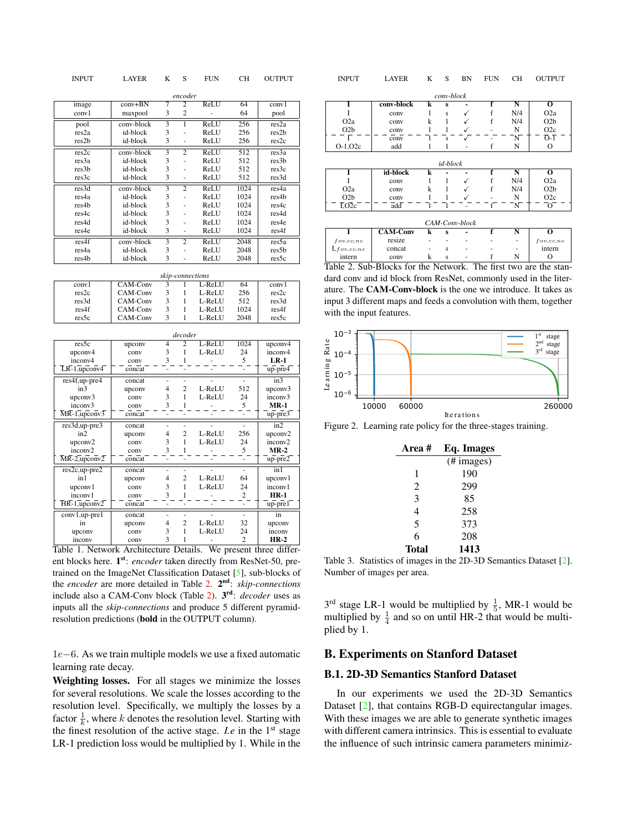<span id="page-1-4"></span>

| <b>INPUT</b>                      | <b>LAYER</b>               | K                         | S              | <b>FUN</b> | <b>CH</b>               | <b>OUTPUT</b>     |  |  |  |  |  |  |
|-----------------------------------|----------------------------|---------------------------|----------------|------------|-------------------------|-------------------|--|--|--|--|--|--|
|                                   |                            |                           | encoder        |            |                         |                   |  |  |  |  |  |  |
| image                             | $conv + BN$                | 7                         | $\overline{2}$ | ReLU       | 64                      | conv1             |  |  |  |  |  |  |
| conv1                             | maxpool                    | 3                         | $\overline{c}$ | ÷,         | 64                      | pool              |  |  |  |  |  |  |
| pool                              | conv-block                 | 3                         | ī              | ReLU       | 256                     | res <sub>2a</sub> |  |  |  |  |  |  |
| res <sub>2a</sub>                 | id-block                   | 3                         | L,             | ReLU       | 256                     | res2b             |  |  |  |  |  |  |
| res2b                             | id-block                   | 3                         | ÷,             | ReLU       | 256                     | res2c             |  |  |  |  |  |  |
| res2c                             | conv-block                 |                           | $\overline{2}$ | ReLU       | 512                     | res3a             |  |  |  |  |  |  |
| res3a                             | id-block                   | 3                         | L.             | ReLU       | 512                     | res3b             |  |  |  |  |  |  |
| res3b                             | id-block                   | 3                         |                | ReLU       | 512                     | res3c             |  |  |  |  |  |  |
| res3c                             | id-block                   | 3                         | ÷,             | ReLU       | 512                     | res3d             |  |  |  |  |  |  |
| res3d                             | conv-block                 | $\overline{\overline{3}}$ | $\overline{2}$ | ReLU       | 1024                    | res4a             |  |  |  |  |  |  |
| res4a                             | id-block                   | 3                         | $\overline{a}$ | ReLU       | 1024                    | res4b             |  |  |  |  |  |  |
| res4b                             | id-block                   | 3                         |                | ReLU       | 1024                    | res4c             |  |  |  |  |  |  |
| res4c                             | id-block                   | 3                         |                | ReLU       | 1024                    | res4d             |  |  |  |  |  |  |
| res4d                             | id-block                   | 3                         | L              | ReLU       | 1024                    | res4e             |  |  |  |  |  |  |
| res4e                             | id-block                   | 3                         |                | ReLU       | 1024                    | res4f             |  |  |  |  |  |  |
| res4f                             | conv-block                 | $\overline{3}$            | $\overline{2}$ | ReLU       | 2048                    | res5a             |  |  |  |  |  |  |
| res4a                             | id-block                   | 3                         | $\overline{a}$ | ReLU       | 2048                    | res5b             |  |  |  |  |  |  |
| res4b                             | id-block                   | 3                         | L,             | ReLU       | 2048                    | res5c             |  |  |  |  |  |  |
|                                   | skip-connections           |                           |                |            |                         |                   |  |  |  |  |  |  |
| conv1                             | CAM-Conv                   | 3                         | 1              | L-ReLU     | 64                      | conv1             |  |  |  |  |  |  |
| res2c                             | CAM-Conv                   | 3                         | $\mathbf{1}$   | L-ReLU     | 256                     | res2c             |  |  |  |  |  |  |
| res3d                             | CAM-Conv                   | 3                         | $\mathbf{1}$   | L-ReLU     | 512                     | res3d             |  |  |  |  |  |  |
| res4f                             | CAM-Conv                   | 3                         | 1              | L-ReLU     | 1024                    | res4f             |  |  |  |  |  |  |
| res5c                             | CAM-Conv                   | 3                         | $\mathbf{1}$   | L-ReLU     | 2048                    | res5c             |  |  |  |  |  |  |
|                                   |                            |                           | decoder        |            |                         |                   |  |  |  |  |  |  |
| res5c                             | upconv                     | $\overline{4}$            | $\overline{2}$ | L-ReLU     | 1024                    | upconv4           |  |  |  |  |  |  |
| upconv4                           | conv                       | 3                         | $\mathbf{1}$   | L-ReLU     | 24                      | inconv4           |  |  |  |  |  |  |
| inconv4                           | conv                       | 3                         | 1              |            | 5                       | $LR-1$            |  |  |  |  |  |  |
| $LR - 1$ , upconv $4$             | $\overline{\text{concat}}$ |                           |                |            |                         | up-pre4           |  |  |  |  |  |  |
| res4f,up-pre4                     | concat                     | L,                        | $\overline{a}$ |            |                         | in3               |  |  |  |  |  |  |
| in3                               | upconv                     | $\overline{4}$            | $\overline{2}$ | L-ReLU     | 512                     | upconv3           |  |  |  |  |  |  |
| upconv3                           | conv                       | 3                         | $\mathbf{1}$   | L-ReLU     | 24                      | inconv3           |  |  |  |  |  |  |
| inconv3                           | conv                       | 3                         | 1              |            | 5                       | $MR-1$            |  |  |  |  |  |  |
| $\overline{\text{MR-1, upconv3}}$ | concat                     | L,                        |                |            |                         | up-pre3           |  |  |  |  |  |  |
| res3d,up-pre3                     | concat                     |                           |                |            |                         | in2               |  |  |  |  |  |  |
| in2                               | upconv                     | $\overline{4}$            | $\overline{c}$ | L-ReLU     | 256                     | upconv2           |  |  |  |  |  |  |
| upconv2                           | conv                       | 3                         | $\mathbf{1}$   | L-ReLU     | 24                      | inconv2           |  |  |  |  |  |  |
| inconv2                           | conv                       | 3                         | 1              |            | 5                       | $MR-2$            |  |  |  |  |  |  |
| $MR-2$ , upconv2                  | concat                     | L,                        |                |            | ä,                      | up-pre2           |  |  |  |  |  |  |
| res2c,up-pre2                     | concat                     | L,                        | L,             |            | ä,                      | in1               |  |  |  |  |  |  |
| in1                               | upconv                     | $\overline{4}$            | $\overline{c}$ | L-ReLU     | 64                      | upconv1           |  |  |  |  |  |  |
| upconv1                           | conv                       | 3                         | $\mathbf{1}$   | L-ReLU     | 24                      | inconv1           |  |  |  |  |  |  |
| inconv1                           | conv                       | 3                         | 1              |            | $\overline{c}$          | <b>HR-1</b>       |  |  |  |  |  |  |
| $\overline{\text{HR-1, upper}}$   | $\overline{\text{concat}}$ |                           |                |            |                         | $up-pre1$         |  |  |  |  |  |  |
| conv1,up-pre1                     | concat                     |                           |                |            |                         | in                |  |  |  |  |  |  |
| in                                | upconv                     | $\overline{4}$            | $\overline{c}$ | L-ReLU     | 32                      | upconv            |  |  |  |  |  |  |
| upconv                            | conv                       | 3                         | $\mathbf{1}$   | L-ReLU     | 24                      | inconv            |  |  |  |  |  |  |
| inconv                            | conv                       | 3                         | 1              | -          | $\overline{\mathbf{c}}$ | HR-2              |  |  |  |  |  |  |

<span id="page-1-0"></span>Table 1. Network Architecture Details. We present three different blocks here. 1<sup>st</sup>: *encoder* taken directly from ResNet-50, pretrained on the ImageNet Classification Dataset [\[5\]](#page-8-2), sub-blocks of the *encoder* are more detailed in Table [2.](#page-1-1) 2 nd: *skip-connections* include also a CAM-Conv block (Table [2\)](#page-1-1). 3 rd: *decoder* uses as inputs all the *skip-connections* and produce 5 different pyramidresolution predictions (bold in the OUTPUT column).

1e−6. As we train multiple models we use a fixed automatic learning rate decay.

Weighting losses. For all stages we minimize the losses for several resolutions. We scale the losses according to the resolution level. Specifically, we multiply the losses by a factor  $\frac{1}{k}$ , where k denotes the resolution level. Starting with the finest resolution of the active stage. *I.e* in the 1<sup>st</sup> stage LR-1 prediction loss would be multiplied by 1. While in the

| <b>INPUT</b>                      | LAYER           | K | S          | BN | <b>FUN</b> | <b>CH</b> | <b>OUTPUT</b>                   |  |  |  |  |  |
|-----------------------------------|-----------------|---|------------|----|------------|-----------|---------------------------------|--|--|--|--|--|
|                                   |                 |   | conv-block |    |            |           |                                 |  |  |  |  |  |
| Ī                                 | conv-block      | k | S          |    | f          | N         | O                               |  |  |  |  |  |
|                                   | conv            | 1 | S          | ✓  | f          | N/4       | O <sub>2</sub> a                |  |  |  |  |  |
| O <sub>2</sub> a                  | conv            | k |            | ✓  | f          | N/4       | O2b                             |  |  |  |  |  |
| O2b                               | conv            |   |            |    |            | N         | O2c                             |  |  |  |  |  |
|                                   | conv            |   | Ś          |    |            | Ñ         | $\overline{O}$ - $\overline{I}$ |  |  |  |  |  |
| $O-1, O2c$                        | add             | 1 | 1          |    | f          | N         | О                               |  |  |  |  |  |
|                                   |                 |   |            |    |            |           |                                 |  |  |  |  |  |
|                                   |                 |   | id-block   |    |            |           |                                 |  |  |  |  |  |
|                                   | id-block        | k |            |    | f          | N         | O                               |  |  |  |  |  |
|                                   | conv            | 1 | 1          | ✓  | f          | N/4       | O <sub>2</sub> a                |  |  |  |  |  |
| O <sub>2</sub> a                  | conv            | k |            |    | f          | N/4       | O2b                             |  |  |  |  |  |
| O2b                               | conv            | 1 | 1          |    |            | N         | O2c                             |  |  |  |  |  |
| $\overline{I}$ , O <sub>2</sub> c | add             |   |            |    |            | N.        | Ō                               |  |  |  |  |  |
|                                   |                 |   |            |    |            |           |                                 |  |  |  |  |  |
| CAM-Conv-block                    |                 |   |            |    |            |           |                                 |  |  |  |  |  |
| Ī                                 | <b>CAM-Conv</b> | k | S          |    | f          | N         | $\bf{o}$                        |  |  |  |  |  |
| fov, cc, nc                       | resize          |   |            |    |            |           | fov, cc, nc                     |  |  |  |  |  |
| $I, f \circ v, c \in R$           | concat          |   | Ś          |    |            |           | intern                          |  |  |  |  |  |

Table 2. Sub-Blocks for the Network. The first two are the standard conv and id block from ResNet, commonly used in the literature. The CAM-Conv-block is the one we introduce. It takes as input 3 different maps and feeds a convolution with them, together with the input features.

<span id="page-1-1"></span>intern conv k s - f N O



<span id="page-1-2"></span>Figure 2. Learning rate policy for the three-stages training.

| Area # | Eq. Images           |
|--------|----------------------|
|        | $(\# \text{images})$ |
| 1      | 190                  |
| 2      | 299                  |
| 3      | 85                   |
| 4      | 258                  |
| 5      | 373                  |
| 6      | 208                  |
| Total  | 1413                 |
|        |                      |

<span id="page-1-3"></span>Table 3. Statistics of images in the 2D-3D Semantics Dataset [\[2\]](#page-8-6). Number of images per area.

 $3^{rd}$  stage LR-1 would be multiplied by  $\frac{1}{5}$ , MR-1 would be multiplied by  $\frac{1}{4}$  and so on until HR-2 that would be multiplied by 1.

## B. Experiments on Stanford Dataset

#### B.1. 2D-3D Semantics Stanford Dataset

In our experiments we used the 2D-3D Semantics Dataset [\[2\]](#page-8-6), that contains RGB-D equirectangular images. With these images we are able to generate synthetic images with different camera intrinsics. This is essential to evaluate the influence of such intrinsic camera parameters minimiz-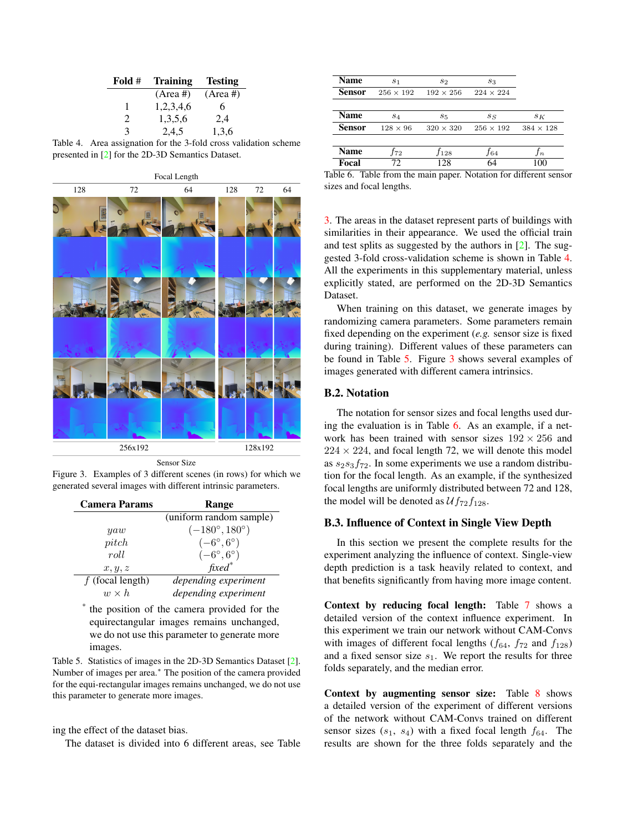<span id="page-2-4"></span>

| Fold $#$      | <b>Training</b> | <b>Testing</b> |
|---------------|-----------------|----------------|
|               | $(Area \#)$     | $(Area \#)$    |
| ı             | 1,2,3,4,6       | 6              |
| $\mathcal{L}$ | 1,3,5,6         | 2,4            |
| 3             | 2,4,5           | 1,3,6          |

<span id="page-2-0"></span>

|  | Table 4. Area assignation for the 3-fold cross validation scheme |  |  |  |
|--|------------------------------------------------------------------|--|--|--|
|  | presented in [2] for the 2D-3D Semantics Dataset.                |  |  |  |



Sensor Size

Figure 3. Examples of 3 different scenes (in rows) for which we generated several images with different intrinsic parameters.

<span id="page-2-2"></span>

| <b>Camera Params</b> | Range                         |  |  |  |  |  |  |  |
|----------------------|-------------------------------|--|--|--|--|--|--|--|
|                      | (uniform random sample)       |  |  |  |  |  |  |  |
| yaw                  | $(-180^{\circ}, 180^{\circ})$ |  |  |  |  |  |  |  |
| pitch                | $(-6^\circ, 6^\circ)$         |  |  |  |  |  |  |  |
| roll                 | $(-6\degree, 6\degree)$       |  |  |  |  |  |  |  |
| x, y, z              | $fixed^*$                     |  |  |  |  |  |  |  |
| $f$ (focal length)   | depending experiment          |  |  |  |  |  |  |  |
| $w \times h$         | depending experiment          |  |  |  |  |  |  |  |

\* the position of the camera provided for the equirectangular images remains unchanged, we do not use this parameter to generate more images.

<span id="page-2-1"></span>Table 5. Statistics of images in the 2D-3D Semantics Dataset [\[2\]](#page-8-6). Number of images per area.<sup>∗</sup> The position of the camera provided for the equi-rectangular images remains unchanged, we do not use this parameter to generate more images.

## ing the effect of the dataset bias.

The dataset is divided into 6 different areas, see Table

| Name          | S <sub>1</sub>   | $s_2$            | $s_3$            |                  |
|---------------|------------------|------------------|------------------|------------------|
| <b>Sensor</b> | $256 \times 192$ | $192 \times 256$ | $224 \times 224$ |                  |
| <b>Name</b>   | $s_4$            | $s_{5}$          | $s_S$            | $s_K$            |
| <b>Sensor</b> | $128 \times 96$  | $320 \times 320$ | $256 \times 192$ | $384 \times 128$ |
| Name          | f72              | $f_{128}$        | .f64             | In               |
| Focal         | 72.              | 128              | 64               | 100              |

<span id="page-2-3"></span>Table 6. Table from the main paper. Notation for different sensor sizes and focal lengths.

[3.](#page-1-3) The areas in the dataset represent parts of buildings with similarities in their appearance. We used the official train and test splits as suggested by the authors in [\[2\]](#page-8-6). The suggested 3-fold cross-validation scheme is shown in Table [4.](#page-2-0) All the experiments in this supplementary material, unless explicitly stated, are performed on the 2D-3D Semantics Dataset.

When training on this dataset, we generate images by randomizing camera parameters. Some parameters remain fixed depending on the experiment (*e.g.* sensor size is fixed during training). Different values of these parameters can be found in Table [5.](#page-2-1) Figure [3](#page-2-2) shows several examples of images generated with different camera intrinsics.

## B.2. Notation

The notation for sensor sizes and focal lengths used during the evaluation is in Table [6.](#page-2-3) As an example, if a network has been trained with sensor sizes  $192 \times 256$  and  $224 \times 224$ , and focal length 72, we will denote this model as  $s_2s_3f_{72}$ . In some experiments we use a random distribution for the focal length. As an example, if the synthesized focal lengths are uniformly distributed between 72 and 128, the model will be denoted as  $Uf_{72}f_{128}$ .

# B.3. Influence of Context in Single View Depth

In this section we present the complete results for the experiment analyzing the influence of context. Single-view depth prediction is a task heavily related to context, and that benefits significantly from having more image content.

Context by reducing focal length: Table [7](#page-3-0) shows a detailed version of the context influence experiment. In this experiment we train our network without CAM-Convs with images of different focal lengths  $(f_{64}, f_{72})$  and  $f_{128})$ and a fixed sensor size  $s_1$ . We report the results for three folds separately, and the median error.

Context by augmenting sensor size: Table [8](#page-3-1) shows a detailed version of the experiment of different versions of the network without CAM-Convs trained on different sensor sizes  $(s_1, s_4)$  with a fixed focal length  $f_{64}$ . The results are shown for the three folds separately and the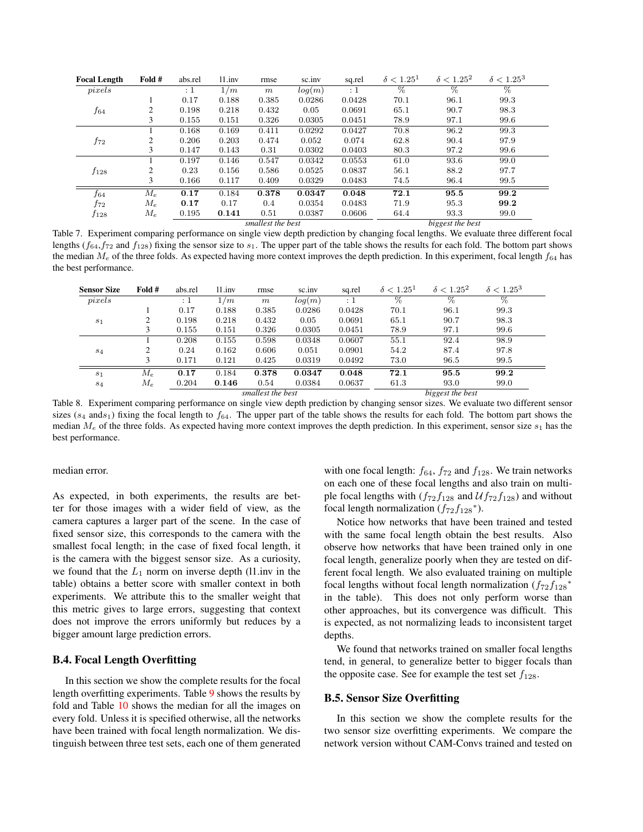| <b>Focal Length</b> | Fold # | abs.rel | 11.inv | rmse              | sc.inv | sq.rel           | $\delta < 1.25^1$ | $\delta < 1.25^2$ | $\delta < 1.25^3$ |
|---------------------|--------|---------|--------|-------------------|--------|------------------|-------------------|-------------------|-------------------|
| pixels              |        | :1      | 1/m    | m                 | log(m) | $\colon 1$       | $\overline{\%}$   | %                 | $\%$              |
|                     |        | 0.17    | 0.188  | 0.385             | 0.0286 | 0.0428           | 70.1              | 96.1              | 99.3              |
| $f_{64}$            | 2      | 0.198   | 0.218  | 0.432             | 0.05   | 0.0691           | 65.1              | 90.7              | 98.3              |
|                     | 3      | 0.155   | 0.151  | 0.326             | 0.0305 | 0.0451           | 78.9              | 97.1              | 99.6              |
|                     |        | 0.168   | 0.169  | 0.411             | 0.0292 | 0.0427           | 70.8              | 96.2              | 99.3              |
| $f_{72}$            | 2      | 0.206   | 0.203  | 0.474             | 0.052  | 0.074            | 62.8              | 90.4              | 97.9              |
|                     | 3      | 0.147   | 0.143  | 0.31              | 0.0302 | 0.0403           | 80.3              | 97.2              | 99.6              |
|                     |        | 0.197   | 0.146  | 0.547             | 0.0342 | 0.0553           | 61.0              | 93.6              | 99.0              |
| $f_{128}$           | 2      | 0.23    | 0.156  | 0.586             | 0.0525 | 0.0837           | 56.1              | 88.2              | 97.7              |
|                     | 3      | 0.166   | 0.117  | 0.409             | 0.0329 | 0.0483           | 74.5              | 96.4              | 99.5              |
| $f_{64}$            | $M_e$  | 0.17    | 0.184  | 0.378             | 0.0347 | 0.048            | 72.1              | 95.5              | 99.2              |
| f72                 | $M_e$  | 0.17    | 0.17   | 0.4               | 0.0354 | 0.0483           | 71.9              | 95.3              | 99.2              |
| $f_{128}$           | $M_e$  | 0.195   | 0.141  | 0.51              | 0.0387 | 0.0606           | 64.4              | 93.3              | 99.0              |
|                     |        |         |        | smallest the best |        | biggest the best |                   |                   |                   |

<span id="page-3-0"></span>Table 7. Experiment comparing performance on single view depth prediction by changing focal lengths. We evaluate three different focal lengths ( $f_{64}$ , $f_{72}$  and  $f_{128}$ ) fixing the sensor size to  $s_1$ . The upper part of the table shows the results for each fold. The bottom part shows the median  $M_e$  of the three folds. As expected having more context improves the depth prediction. In this experiment, focal length  $f_{64}$  has the best performance.

| <b>Sensor Size</b> | Fold # | abs.rel  | 11.inv | rmse              | sc.inv | sq.rel           | $\delta < 1.25^1$ | $\delta < 1.25^2$ | $\delta < 1.25^3$ |
|--------------------|--------|----------|--------|-------------------|--------|------------------|-------------------|-------------------|-------------------|
| pixels             |        | $\div 1$ | 1/m    | $\,m$             | log(m) | : 1              | %                 | %                 | %                 |
|                    |        | 0.17     | 0.188  | 0.385             | 0.0286 | 0.0428           | 70.1              | 96.1              | 99.3              |
| s <sub>1</sub>     |        | 0.198    | 0.218  | 0.432             | 0.05   | 0.0691           | 65.1              | 90.7              | 98.3              |
|                    |        | 0.155    | 0.151  | 0.326             | 0.0305 | 0.0451           | 78.9              | 97.1              | 99.6              |
|                    |        | 0.208    | 0.155  | 0.598             | 0.0348 | 0.0607           | 55.1              | 92.4              | 98.9              |
| $s_4$              |        | 0.24     | 0.162  | 0.606             | 0.051  | 0.0901           | 54.2              | 87.4              | 97.8              |
|                    |        | 0.171    | 0.121  | 0.425             | 0.0319 | 0.0492           | 73.0              | 96.5              | 99.5              |
| s <sub>1</sub>     | $M_e$  | 0.17     | 0.184  | 0.378             | 0.0347 | 0.048            | 72.1              | 95.5              | 99.2              |
| $s_4$              | $M_e$  | 0.204    | 0.146  | 0.54              | 0.0384 | 0.0637           | 61.3              | 93.0              | 99.0              |
|                    |        |          |        | smallest the best |        | biggest the best |                   |                   |                   |

<span id="page-3-1"></span>Table 8. Experiment comparing performance on single view depth prediction by changing sensor sizes. We evaluate two different sensor sizes ( $s_4$  ands<sub>1</sub>) fixing the focal length to  $f_{64}$ . The upper part of the table shows the results for each fold. The bottom part shows the median  $M_e$  of the three folds. As expected having more context improves the depth prediction. In this experiment, sensor size  $s_1$  has the best performance.

median error.

As expected, in both experiments, the results are better for those images with a wider field of view, as the camera captures a larger part of the scene. In the case of fixed sensor size, this corresponds to the camera with the smallest focal length; in the case of fixed focal length, it is the camera with the biggest sensor size. As a curiosity, we found that the  $L_1$  norm on inverse depth (l1.inv in the table) obtains a better score with smaller context in both experiments. We attribute this to the smaller weight that this metric gives to large errors, suggesting that context does not improve the errors uniformly but reduces by a bigger amount large prediction errors.

#### B.4. Focal Length Overfitting

In this section we show the complete results for the focal length overfitting experiments. Table [9](#page-4-0) shows the results by fold and Table [10](#page-5-0) shows the median for all the images on every fold. Unless it is specified otherwise, all the networks have been trained with focal length normalization. We distinguish between three test sets, each one of them generated

with one focal length:  $f_{64}$ ,  $f_{72}$  and  $f_{128}$ . We train networks on each one of these focal lengths and also train on multiple focal lengths with  $(f_{72}f_{128}$  and  $\mathcal{U}f_{72}f_{128})$  and without focal length normalization  $(f_{72}f_{128})^*$ .

Notice how networks that have been trained and tested with the same focal length obtain the best results. Also observe how networks that have been trained only in one focal length, generalize poorly when they are tested on different focal length. We also evaluated training on multiple focal lengths without focal length normalization  $(f_{72}f_{128}^*$ in the table). This does not only perform worse than other approaches, but its convergence was difficult. This is expected, as not normalizing leads to inconsistent target depths.

We found that networks trained on smaller focal lengths tend, in general, to generalize better to bigger focals than the opposite case. See for example the test set  $f_{128}$ .

## B.5. Sensor Size Overfitting

In this section we show the complete results for the two sensor size overfitting experiments. We compare the network version without CAM-Convs trained and tested on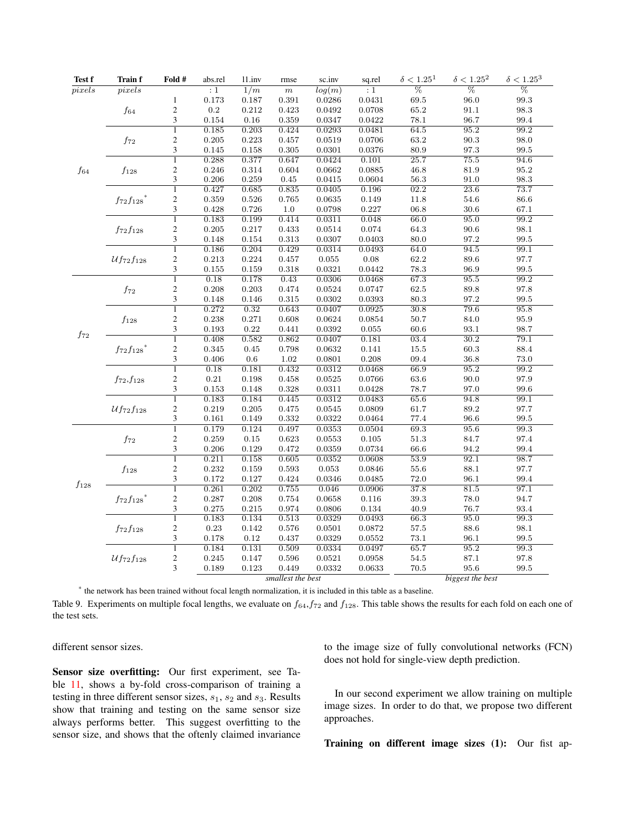| Test f    | <b>Train f</b>    | Fold #                  | abs.rel        | 11.inv         | rmse             | sc.inv           | sq.rel           | $\delta < 1.25^1$ | $\delta < 1.25^2$ | $\delta < 1.25^3$   |
|-----------|-------------------|-------------------------|----------------|----------------|------------------|------------------|------------------|-------------------|-------------------|---------------------|
| pixels    | pixels            |                         | : 1            | 1/m            | $\,m$            | log(m)           | : 1              | $\overline{\%}$   | $\overline{\%}$   | $\overline{\%}$     |
|           |                   | $\mathbf{1}$            | 0.173          | 0.187          | 0.391            | 0.0286           | 0.0431           | $69.5\,$          | 96.0              | 99.3                |
|           | $f_{64}$          | $\sqrt{2}$              | $\rm 0.2$      | 0.212          | 0.423            | 0.0492           | 0.0708           | 65.2              | 91.1              | 98.3                |
|           |                   | 3                       | 0.154          | $0.16\,$       | 0.359            | 0.0347           | 0.0422           | 78.1              | 96.7              | 99.4                |
|           |                   | $\overline{1}$          | 0.185          | 0.203          | 0.424            | 0.0293           | 0.0481           | 64.5              | 95.2              | 99.2                |
|           | $f_{72}$          | $\boldsymbol{2}$        | 0.205          | 0.223          | 0.457            | 0.0519           | 0.0706           | 63.2              | 90.3              | 98.0                |
|           |                   | 3                       | 0.145          | 0.158          | 0.305            | 0.0301           | 0.0376           | 80.9              | $97.3\,$          | $\boldsymbol{99.5}$ |
|           |                   | $\overline{1}$          | 0.288          | 0.377          | 0.647            | 0.0424           | 0.101            | 25.7              | 75.5              | 94.6                |
| $f_{64}$  | $f_{128}$         | $\sqrt{2}$              | 0.246          | 0.314          | 0.604            | 0.0662           | 0.0885           | 46.8              | 81.9              | 95.2                |
|           |                   | 3                       | 0.206          | 0.259          | 0.45             | 0.0415           | 0.0604           | 56.3              | 91.0              | 98.3                |
|           |                   | $\overline{1}$          | 0.427          | 0.685          | 0.835            | 0.0405           | 0.196            | 02.2              | 23.6              | 73.7                |
|           | $f_{72}f_{128}$ * | $\boldsymbol{2}$        | 0.359          | 0.526          | 0.765            | 0.0635           | 0.149            | 11.8              | 54.6              | 86.6                |
|           |                   | 3                       | 0.428          | 0.726          | 1.0              | 0.0798           | 0.227            | 06.8              | 30.6              | 67.1                |
|           |                   | $\overline{1}$          | 0.183          | 0.199          | 0.414            | 0.0311           | 0.048            | 66.0              | 95.0              | 99.2                |
|           | $f_{72}f_{128}$   | $\sqrt{2}$              | 0.205          | 0.217          | 0.433            | 0.0514           | 0.074            | 64.3              | 90.6              | 98.1                |
|           |                   | 3                       | 0.148          | 0.154          | 0.313            | 0.0307           | 0.0403           | 80.0              | 97.2              | 99.5                |
|           |                   | $\overline{1}$          | 0.186          | 0.204          | 0.429            | 0.0314           | 0.0493           | 64.0              | 94.5              | 99.1                |
|           | $Uf_{72}f_{128}$  | $\boldsymbol{2}$        | 0.213          | 0.224          | 0.457            | 0.055            | 0.08             | 62.2              | 89.6              | 97.7                |
|           |                   | 3                       | 0.155          | 0.159          | 0.318            | 0.0321           | 0.0442           | 78.3              | 96.9              | 99.5                |
|           |                   | $\mathbf{1}$            | 0.18           | 0.178          | 0.43             | 0.0306           | 0.0468           | 67.3              | 95.5              | 99.2                |
|           | $f_{72}$          | $\sqrt{2}$              | 0.208          | 0.203          | 0.474            | 0.0524           | 0.0747           | 62.5              | 89.8              | 97.8                |
|           |                   | 3                       | 0.148          | 0.146          | $\rm 0.315$      | 0.0302           | 0.0393           | 80.3              | 97.2              | 99.5                |
|           |                   | 1                       | 0.272          | 0.32           | 0.643            | 0.0407           | 0.0925           | 30.8              | 79.6              | 95.8                |
| $f_{72}$  | $f_\mathrm{128}$  | $\sqrt{2}$              | 0.238          | 0.271          | 0.608            | 0.0624           | 0.0854           | 50.7              | 84.0              | 95.9                |
|           |                   | 3                       | 0.193          | 0.22           | 0.441            | 0.0392           | $\,0.055\,$      | 60.6              | 93.1              | 98.7                |
|           |                   | $\overline{1}$          | 0.408          | 0.582          | 0.862            | 0.0407           | 0.181            | 03.4              | 30.2              | 79.1                |
|           | $f_{72}f_{128}^*$ | $\overline{\mathbf{c}}$ | 0.345          | 0.45           | 0.798            | 0.0632           | 0.141            | 15.5              | 60.3              | 88.4                |
|           |                   | $\mathfrak{Z}$          | 0.406          | 0.6            | $1.02\,$         | 0.0801           | 0.208            | 09.4              | 36.8              | 73.0                |
|           |                   | $\overline{1}$          | 0.18           | 0.181          | 0.432            | 0.0312           | 0.0468           | 66.9              | 95.2              | 99.2                |
|           | $f_{72}, f_{128}$ | $\mathfrak{2}$          | 0.21           | 0.198          | 0.458            | 0.0525           | 0.0766           | 63.6              | 90.0              | 97.9                |
|           |                   | 3                       | 0.153          | 0.148          | 0.328            | 0.0311           | 0.0428           | 78.7              | 97.0              | 99.6                |
|           |                   | $\overline{1}$          | 0.183          | 0.184          | 0.445            | 0.0312           | 0.0483           | 65.6              | 94.8              | 99.1                |
|           | $Uf_{72}f_{128}$  | $\boldsymbol{2}$        | 0.219          | 0.205          | 0.475            | 0.0545           | 0.0809           | 61.7              | 89.2              | 97.7                |
|           |                   | 3                       | 0.161          | 0.149          | 0.332            | 0.0322           | 0.0464           | 77.4              | 96.6              | 99.5                |
|           |                   | $\overline{1}$          | 0.179          | 0.124          | 0.497            | 0.0353           | 0.0504           | 69.3              | 95.6              | 99.3                |
|           | $f_{72}$          | $\sqrt{2}$<br>3         | 0.259          | 0.15           | 0.623            | 0.0553           | $0.105\,$        | 51.3              | 84.7              | 97.4                |
|           |                   | $\overline{1}$          | 0.206<br>0.211 | 0.129<br>0.158 | 0.472<br>0.605   | 0.0359<br>0.0352 | 0.0734<br>0.0608 | 66.6<br>53.9      | 94.2<br>92.1      | 99.4<br>98.7        |
|           |                   | $\mathfrak{2}$          | 0.232          | 0.159          | 0.593            | 0.053            | 0.0846           | 55.6              | 88.1              | 97.7                |
|           | $f_{128}$         | 3                       | 0.172          | 0.127          | 0.424            | 0.0346           | 0.0485           | 72.0              | 96.1              | 99.4                |
| $f_{128}$ |                   | $\overline{1}$          | 0.261          | 0.202          | 0.755            | 0.046            | 0.0906           | 37.8              | 81.5              | 97.1                |
|           | $f_{72}f_{128}$ * | $\overline{\mathbf{c}}$ | 0.287          | 0.208          | 0.754            | 0.0658           | 0.116            | 39.3              | 78.0              | 94.7                |
|           |                   | 3                       | 0.275          | 0.215          | 0.974            | 0.0806           | 0.134            | 40.9              | 76.7              | 93.4                |
|           |                   | 1                       | 0.183          | 0.134          | 0.513            | 0.0329           | 0.0493           | 66.3              | 95.0              | 99.3                |
|           | $f_{72}f_{128}$   | $\mathfrak{2}$          | 0.23           | 0.142          | 0.576            | 0.0501           | 0.0872           | 57.5              | 88.6              | 98.1                |
|           |                   | 3                       | 0.178          | 0.12           | 0.437            | 0.0329           | 0.0552           | 73.1              | 96.1              | 99.5                |
|           |                   | $\overline{1}$          | 0.184          | 0.131          | 0.509            | 0.0334           | 0.0497           | 65.7              | 95.2              | 99.3                |
|           | $Uf_{72}f_{128}$  | $\overline{\mathbf{c}}$ | 0.245          | 0.147          | 0.596            | 0.0521           | 0.0958           | 54.5              | 87.1              | 97.8                |
|           |                   | 3                       | 0.189          | 0.123          | 0.449            | 0.0332           | 0.0633           | 70.5              | 95.6              | 99.5                |
|           |                   |                         |                |                | biggest the best |                  |                  |                   |                   |                     |

<span id="page-4-0"></span>\* the network has been trained without focal length normalization, it is included in this table as a baseline.

Table 9. Experiments on multiple focal lengths, we evaluate on  $f_{64}$ ,  $f_{72}$  and  $f_{128}$ . This table shows the results for each fold on each one of the test sets.

## different sensor sizes.

Sensor size overfitting: Our first experiment, see Table [11,](#page-5-1) shows a by-fold cross-comparison of training a testing in three different sensor sizes,  $s_1$ ,  $s_2$  and  $s_3$ . Results show that training and testing on the same sensor size always performs better. This suggest overfitting to the sensor size, and shows that the oftenly claimed invariance

to the image size of fully convolutional networks (FCN) does not hold for single-view depth prediction.

In our second experiment we allow training on multiple image sizes. In order to do that, we propose two different approaches.

Training on different image sizes (1): Our fist ap-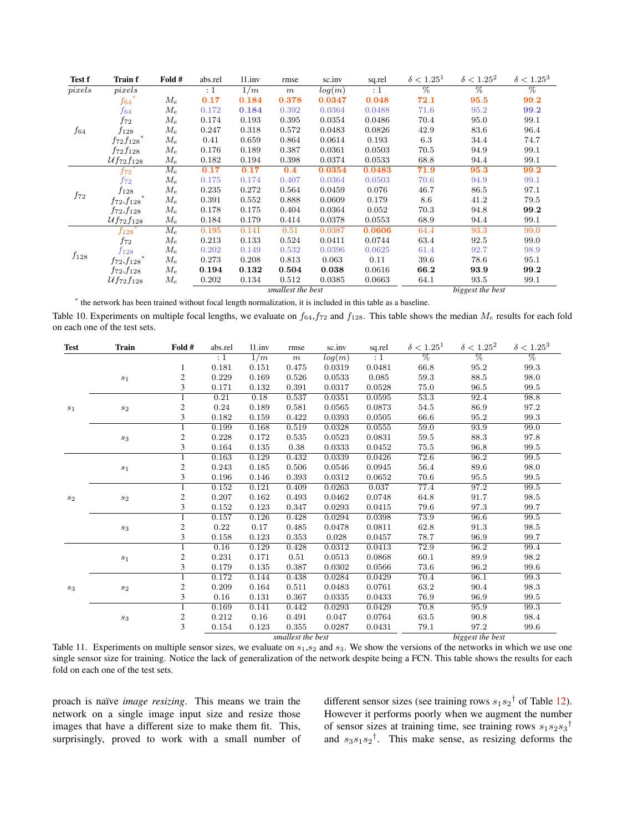| Test f    | <b>Train f</b>             | Fold # | abs.rel | 11.inv | rmse              | sc.inv              | sq.rel           | $\delta < 1.25^1$ | $\delta < 1.25^2$ | $\delta < 1.25^3$ |
|-----------|----------------------------|--------|---------|--------|-------------------|---------------------|------------------|-------------------|-------------------|-------------------|
| pixels    | pixels                     |        | :1      | 1/m    | $\,m$             | $log(\overline{m})$ | : 1              | $\%$              | $\%$              | $\%$              |
|           | $f_{64}\degree$            | $M_e$  | 0.17    | 0.184  | 0.378             | 0.0347              | 0.048            | 72.1              | 95.5              | 99.2              |
|           | f64                        | $M_e$  | 0.172   | 0.184  | 0.392             | 0.0364              | 0.0488           | 71.6              | 95.2              | 99.2              |
|           | f72                        | $M_e$  | 0.174   | 0.193  | 0.395             | 0.0354              | 0.0486           | 70.4              | 95.0              | 99.1              |
| $f_{64}$  | $f_{128}$                  | $M_e$  | 0.247   | 0.318  | 0.572             | 0.0483              | 0.0826           | 42.9              | 83.6              | 96.4              |
|           | $f_{72}f_{128}$            | $M_e$  | 0.41    | 0.659  | 0.864             | 0.0614              | 0.193            | 6.3               | 34.4              | 74.7              |
|           | $f_{72}f_{128}$            | $M_e$  | 0.176   | 0.189  | 0.387             | 0.0361              | 0.0503           | 70.5              | 94.9              | 99.1              |
|           | $\mathcal{U}f_{72}f_{128}$ | $M_e$  | 0.182   | 0.194  | 0.398             | 0.0374              | 0.0533           | 68.8              | 94.4              | 99.1              |
|           | $f_{72}$                   | $M_e$  | 0.17    | 0.17   | 0.4               | 0.0354              | 0.0483           | 71.9              | 95.3              | 99.2              |
|           | $f_{72}$                   | $M_e$  | 0.175   | 0.174  | 0.407             | 0.0364              | 0.0503           | 70.6              | 94.9              | 99.1              |
|           | $f_{128}$                  | $M_e$  | 0.235   | 0.272  | 0.564             | 0.0459              | 0.076            | 46.7              | 86.5              | 97.1              |
| $f_{72}$  | $f_{72}, f_{128}$          | $M_e$  | 0.391   | 0.552  | 0.888             | 0.0609              | 0.179            | 8.6               | 41.2              | 79.5              |
|           | $f_{72}, f_{128}$          | $M_e$  | 0.178   | 0.175  | 0.404             | 0.0364              | 0.052            | 70.3              | 94.8              | 99.2              |
|           | $Uf_{72}f_{128}$           | $M_e$  | 0.184   | 0.179  | 0.414             | 0.0378              | 0.0553           | 68.9              | 94.4              | 99.1              |
|           | $f_{128}$                  | $M_e$  | 0.195   | 0.141  | 0.51              | 0.0387              | 0.0606           | 64.4              | 93.3              | 99.0              |
|           | f72                        | $M_e$  | 0.213   | 0.133  | 0.524             | 0.0411              | 0.0744           | 63.4              | 92.5              | 99.0              |
|           | $f_{128}$                  | $M_e$  | 0.202   | 0.149  | 0.532             | 0.0396              | 0.0625           | 61.4              | 92.7              | 98.9              |
| $f_{128}$ | $f_{72}, f_{128}$          | $M_e$  | 0.273   | 0.208  | 0.813             | 0.063               | 0.11             | 39.6              | 78.6              | 95.1              |
|           | $f_{72}, f_{128}$          | $M_e$  | 0.194   | 0.132  | 0.504             | 0.038               | 0.0616           | 66.2              | 93.9              | 99.2              |
|           | $\mathcal{U}f_{72}f_{128}$ | $M_e$  | 0.202   | 0.134  | 0.512             | 0.0385              | 0.0663           | 64.1              | 93.5              | 99.1              |
|           |                            |        |         |        | smallest the best |                     | biggest the best |                   |                   |                   |

<span id="page-5-0"></span>\* the network has been trained without focal length normalization, it is included in this table as a baseline.

Table 10. Experiments on multiple focal lengths, we evaluate on  $f_{64}$ ,  $f_{72}$  and  $f_{128}$ . This table shows the median  $M_e$  results for each fold on each one of the test sets.

| <b>Test</b>    | Train            | Fold #         | abs.rel | 11.inv | rmse              | sc.inv | sq.rel           | $\delta < 1.25^1$ | $\delta < 1.25^2$ | $\delta < 1.25^3$ |
|----------------|------------------|----------------|---------|--------|-------------------|--------|------------------|-------------------|-------------------|-------------------|
|                |                  |                | :1      | 1/m    | m                 | log(m) | : 1              | $\overline{\%}$   | $\overline{\%}$   | $\overline{\%}$   |
|                |                  | 1              | 0.181   | 0.151  | 0.475             | 0.0319 | 0.0481           | 66.8              | 95.2              | 99.3              |
|                | $\sqrt{s_{1}}$   | $\overline{c}$ | 0.229   | 0.169  | 0.526             | 0.0533 | 0.085            | 59.3              | 88.5              | 98.0              |
|                |                  | 3              | 0.171   | 0.132  | 0.391             | 0.0317 | 0.0528           | 75.0              | 96.5              | 99.5              |
|                |                  |                | 0.21    | 0.18   | 0.537             | 0.0351 | 0.0595           | 53.3              | 92.4              | 98.8              |
| $\sqrt{s_{1}}$ | $\sqrt{s_{2}}$   | 2              | 0.24    | 0.189  | 0.581             | 0.0565 | 0.0873           | 54.5              | 86.9              | 97.2              |
|                |                  | 3              | 0.182   | 0.159  | 0.422             | 0.0393 | 0.0505           | 66.6              | 95.2              | 99.3              |
|                |                  |                | 0.199   | 0.168  | 0.519             | 0.0328 | 0.0555           | 59.0              | 93.9              | 99.0              |
|                | $\sqrt{s_3}$     | $\overline{c}$ | 0.228   | 0.172  | 0.535             | 0.0523 | 0.0831           | 59.5              | 88.3              | 97.8              |
|                |                  | 3              | 0.164   | 0.135  | 0.38              | 0.0333 | 0.0452           | 75.5              | 96.8              | 99.5              |
|                |                  |                | 0.163   | 0.129  | 0.432             | 0.0339 | 0.0426           | 72.6              | 96.2              | 99.5              |
|                | $\sqrt{s_{1}}$   | 2              | 0.243   | 0.185  | 0.506             | 0.0546 | 0.0945           | 56.4              | 89.6              | 98.0              |
|                |                  | 3              | 0.196   | 0.146  | 0.393             | 0.0312 | 0.0652           | 70.6              | 95.5              | 99.5              |
|                |                  |                | 0.152   | 0.121  | 0.409             | 0.0263 | 0.037            | 77.4              | 97.2              | 99.5              |
| $\sqrt{s_{2}}$ | $\sqrt{s_{2}}$   | 2              | 0.207   | 0.162  | 0.493             | 0.0462 | 0.0748           | 64.8              | 91.7              | 98.5              |
|                |                  | 3              | 0.152   | 0.123  | 0.347             | 0.0293 | 0.0415           | 79.6              | 97.3              | 99.7              |
|                |                  |                | 0.157   | 0.126  | 0.428             | 0.0294 | 0.0398           | 73.9              | 96.6              | 99.5              |
|                | $\sqrt{s_3}$     | $\mathfrak{2}$ | 0.22    | 0.17   | 0.485             | 0.0478 | 0.0811           | 62.8              | 91.3              | 98.5              |
|                |                  | 3              | 0.158   | 0.123  | 0.353             | 0.028  | 0.0457           | 78.7              | 96.9              | 99.7              |
|                |                  |                | 0.16    | 0.129  | 0.428             | 0.0312 | 0.0413           | 72.9              | 96.2              | 99.4              |
|                | $\sqrt{s_{1}}$   | $\overline{c}$ | 0.231   | 0.171  | 0.51              | 0.0513 | 0.0868           | 60.1              | 89.9              | 98.2              |
|                |                  | 3              | 0.179   | 0.135  | 0.387             | 0.0302 | 0.0566           | 73.6              | 96.2              | 99.6              |
|                |                  |                | 0.172   | 0.144  | 0.438             | 0.0284 | 0.0429           | 70.4              | 96.1              | 99.3              |
| $s_3$          | $\mathfrak{s}_2$ | 2              | 0.209   | 0.164  | 0.511             | 0.0483 | 0.0761           | 63.2              | 90.4              | 98.3              |
|                |                  | 3              | 0.16    | 0.131  | 0.367             | 0.0335 | 0.0433           | 76.9              | 96.9              | 99.5              |
|                |                  |                | 0.169   | 0.141  | 0.442             | 0.0293 | 0.0429           | 70.8              | 95.9              | 99.3              |
|                | $\sqrt{s_3}$     | $\mathfrak{2}$ | 0.212   | 0.16   | 0.491             | 0.047  | 0.0764           | 63.5              | 90.8              | 98.4              |
|                |                  | 3              | 0.154   | 0.123  | 0.355             | 0.0287 | 0.0431           | 79.1              | 97.2              | 99.6              |
|                |                  |                |         |        | smallest the best |        | biggest the best |                   |                   |                   |

<span id="page-5-1"></span>Table 11. Experiments on multiple sensor sizes, we evaluate on  $s_1, s_2$  and  $s_3$ . We show the versions of the networks in which we use one single sensor size for training. Notice the lack of generalization of the network despite being a FCN. This table shows the results for each fold on each one of the test sets.

proach is naïve *image resizing*. This means we train the network on a single image input size and resize those images that have a different size to make them fit. This, surprisingly, proved to work with a small number of

different sensor sizes (see training rows  $s_1s_2^{\dagger}$  of Table [12\)](#page-6-0). However it performs poorly when we augment the number of sensor sizes at training time, see training rows  $s_1s_2s_3$ <sup>†</sup> and  $s_3s_1s_2$ <sup>†</sup>. This make sense, as resizing deforms the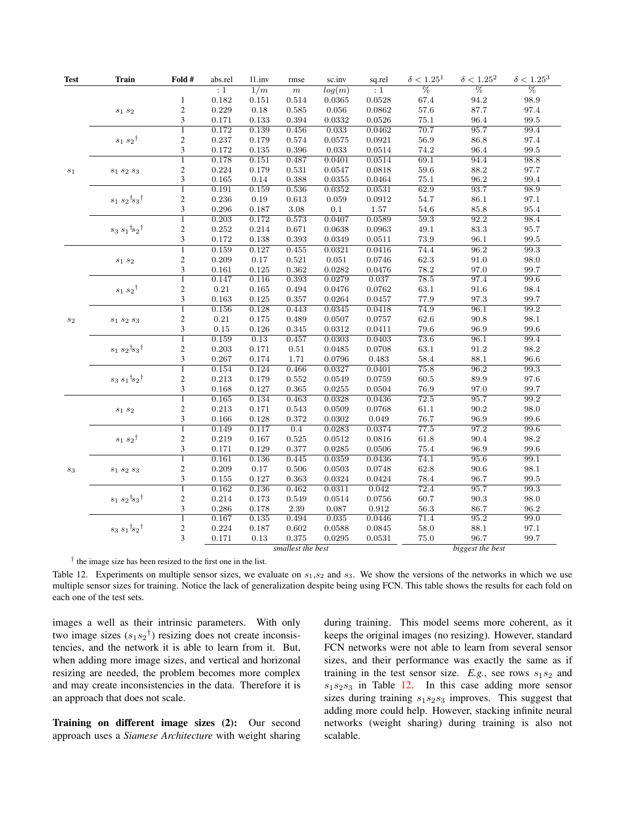| <b>Test</b>    | <b>Train</b>                                 | Fold #                  | abs.rel        | 11.inv             | rmse        | sc.inv      | sq.rel       | $\delta < 1.25^1$ | $\delta < 1.25^2$ | $\delta < 1.25^3$   |  |  |  |
|----------------|----------------------------------------------|-------------------------|----------------|--------------------|-------------|-------------|--------------|-------------------|-------------------|---------------------|--|--|--|
|                |                                              |                         | :1             | 1/m                | $\,m$       | log(m)      | :1           | $\overline{\%}$   | $\overline{\%}$   | $\overline{\%}$     |  |  |  |
|                |                                              | $\mathbf{1}$            | $\rm 0.182$    | 0.151              | 0.514       | 0.0365      | 0.0528       | 67.4              | 94.2              | 98.9                |  |  |  |
|                | $s_1 s_2$                                    | $\overline{c}$          | 0.229          | $0.18\,$           | 0.585       | $\,0.056\,$ | 0.0862       | 57.6              | 87.7              | 97.4                |  |  |  |
|                |                                              | $\overline{\mathbf{3}}$ | 0.171          | 0.133              | 0.394       | 0.0332      | $\,0.0526\,$ | $75.1\,$          | $96.4\,$          | $\boldsymbol{99.5}$ |  |  |  |
|                |                                              | $\overline{1}$          | 0.172          | 0.139              | 0.456       | 0.033       | 0.0462       | 70.7              | 95.7              | 99.4                |  |  |  |
|                | $s_1\ s_2{}^\dagger$                         | $\overline{c}$          | 0.237          | $0.179\,$          | 0.574       | 0.0575      | $\,0.0921\,$ | $56.9\,$          | $86.8\,$          | 97.4                |  |  |  |
|                |                                              | 3                       | 0.172          | 0.135              | 0.396       | $\,0.033\,$ | 0.0514       | 74.2              | 96.4              | 99.5                |  |  |  |
|                |                                              | $\overline{1}$          | 0.178          | 0.151              | 0.487       | 0.0401      | 0.0514       | 69.1              | 94.4              | 98.8                |  |  |  |
| $\sqrt{s_{1}}$ | $s_1 s_2 s_3$                                | $\overline{c}$          | 0.224          | $0.179\,$          | $\,0.531\,$ | 0.0547      | $\,0.0818\,$ | $59.6\,$          | 88.2              | 97.7                |  |  |  |
|                |                                              | 3                       | 0.165          | 0.14               | 0.388       | 0.0355      | 0.0464       | 75.1              | 96.2              | 99.4                |  |  |  |
|                |                                              | T                       | 0.191          | 0.159              | 0.536       | 0.0352      | 0.0531       | 62.9              | 93.7              | 98.9                |  |  |  |
|                | $s_1\ s_2\dot{~}s_3\dot{~}$                  | $\overline{\mathbf{c}}$ | 0.236          | $0.19\,$           | 0.613       | $\,0.059\,$ | $\,0.0912\,$ | 54.7              | $86.1\,$          | $97.1\,$            |  |  |  |
|                |                                              | $\overline{\mathbf{3}}$ | 0.296          | 0.187              | $3.08\,$    | $0.1\,$     | $1.57\,$     | 54.6              | 85.8              | 95.4                |  |  |  |
|                |                                              | $\overline{1}$          | 0.203          | 0.172              | 0.573       | 0.0407      | 0.0589       | 59.3              | 92.2              | 98.4                |  |  |  |
|                | $s_3 s_1$ t $s_2$ t                          | $\overline{c}$          | $\rm 0.252$    | $\rm 0.214$        | 0.671       | 0.0638      | 0.0963       | 49.1              | $83.3\,$          | 95.7                |  |  |  |
|                |                                              | 3                       | 0.172          | 0.138              | 0.393       | 0.0349      | 0.0511       | 73.9              | 96.1              | 99.5                |  |  |  |
|                |                                              | $\overline{1}$          | 0.159          | 0.127              | 0.455       | 0.0321      | 0.0416       | 74.4              | 96.2              | 99.3                |  |  |  |
|                | $s_1 s_2$                                    | $\overline{c}$          | 0.209          | 0.17               | $\,0.521\,$ | 0.051       | $\,0.0746\,$ | 62.3              | 91.0              | 98.0                |  |  |  |
|                |                                              | 3                       | $\rm 0.161$    | 0.125              | 0.362       | 0.0282      | $0.0476\,$   | 78.2              | 97.0              | 99.7                |  |  |  |
|                |                                              | $\overline{1}$          | 0.147          | 0.116              | 0.393       | 0.0279      | 0.037        | 78.5              | 97.4              | 99.6                |  |  |  |
|                | $s_1 s_2$ <sup>†</sup>                       | $\overline{c}$          | $\rm 0.21$     | 0.165              | 0.494       | 0.0476      | 0.0762       | 63.1              | 91.6              | 98.4                |  |  |  |
|                |                                              | $\overline{\mathbf{3}}$ | 0.163          | 0.125              | 0.357       | 0.0264      | 0.0457       | 77.9              | $97.3\,$          | 99.7                |  |  |  |
|                |                                              | $\overline{1}$          | 0.156          | 0.128              | 0.443       | 0.0345      | 0.0418       | 74.9              | 96.1              | 99.2                |  |  |  |
| $s_2$          | $\mathfrak{s}_1\mathfrak{s}_2\mathfrak{s}_3$ | $\overline{c}$          | 0.21           | 0.175              | 0.489       | 0.0507      | 0.0757       | 62.6              | 90.8              | 98.1                |  |  |  |
|                |                                              | $\overline{\mathbf{3}}$ | $0.15\,$       | $0.126\,$          | 0.345       | 0.0312      | 0.0411       | 79.6              | 96.9              | 99.6                |  |  |  |
|                |                                              | $\overline{1}$          | 0.159          | 0.13               | 0.457       | 0.0303      | 0.0403       | 73.6              | 96.1              | 99.4                |  |  |  |
|                | $s_1 s_2$ <sup>t</sup> $s_3$ <sup>t</sup>    | $\overline{c}$          | $\rm 0.203$    | 0.171              | $0.51\,$    | 0.0485      | 0.0708       | $63.1\,$          | $91.2\,$          | $98.2\,$            |  |  |  |
|                |                                              | $\overline{\mathbf{3}}$ | 0.267          | $0.174\,$          | 1.71        | 0.0796      | 0.483        | 58.4              | 88.1              | 96.6                |  |  |  |
|                | $s_3\,s_1\,{}^{\dagger}\! s_2\,{}^{\dagger}$ | $\overline{1}$          | 0.154          | 0.124              | 0.466       | 0.0327      | 0.0401       | 75.8              | 96.2              | 99.3                |  |  |  |
|                |                                              | $\overline{c}$          | 0.213          | 0.179              | 0.552       | 0.0549      | 0.0759       | 60.5              | 89.9              | 97.6                |  |  |  |
|                |                                              | 3                       | 0.168          | 0.127              | 0.365       | 0.0255      | 0.0504       | 76.9              | 97.0              | 99.7                |  |  |  |
|                |                                              | $\overline{1}$          | 0.165          | 0.134              | 0.463       | 0.0328      | 0.0436       | 72.5              | 95.7              | 99.2                |  |  |  |
|                |                                              | $\overline{c}$          | 0.213          | 0.171              | 0.543       | 0.0509      | 0.0768       | 61.1              | 90.2              | 98.0                |  |  |  |
|                | $s_1 s_2$                                    | $\overline{3}$          | 0.166          | 0.128              | 0.372       | 0.0302      | 0.049        | 76.7              | 96.9              | 99.6                |  |  |  |
|                |                                              | $\overline{1}$          | 0.149          | 0.117              | 0.4         | 0.0283      | 0.0374       | 77.5              | 97.2              | 99.6                |  |  |  |
|                | $s_1 s_2$ <sup>†</sup>                       | $\overline{c}$          | $\rm 0.219$    | $0.167\,$          | 0.525       | 0.0512      | $\,0.0816\,$ | $61.8\,$          | $90.4\,$          | 98.2                |  |  |  |
|                |                                              | 3                       | 0.171          | 0.129              | 0.377       | 0.0285      | 0.0506       | 75.4              | 96.9              | 99.6                |  |  |  |
|                |                                              | $\overline{1}$          | 0.161          | 0.136              | 0.445       | 0.0359      | 0.0436       | 74.1              | 95.6              | 99.1                |  |  |  |
|                |                                              | $\overline{c}$          | 0.209          | 0.17               | 0.506       | 0.0503      | 0.0748       | 62.8              | 90.6              | $98.1\,$            |  |  |  |
| $s_3$          | $s_1 s_2 s_3$                                | 3                       | 0.155          | 0.127              | 0.363       | 0.0324      | 0.0424       | 78.4              | 96.7              | 99.5                |  |  |  |
|                |                                              | $\overline{1}$          | 0.162          | 0.136              | 0.462       | 0.0311      | 0.042        | 72.4              | 95.7              | 99.3                |  |  |  |
|                |                                              |                         |                |                    |             |             |              |                   |                   |                     |  |  |  |
|                | $s_1 s_2$ <sup>t</sup> $s_3$ <sup>t</sup>    | $\overline{c}$          | 0.214          | 0.173              | 0.549       | 0.0514      | $\,0.0756\,$ | 60.7              | 90.3              | 98.0                |  |  |  |
|                |                                              | 3<br>$\overline{1}$     | 0.286<br>0.167 | $0.178\,$<br>0.135 | $2.39\,$    | 0.087       | $\rm 0.912$  | 56.3              | 86.7<br>95.2      | 96.2                |  |  |  |
|                |                                              |                         |                |                    | 0.494       | 0.035       | 0.0446       | 71.4              |                   | 99.0                |  |  |  |
|                | $s_3 s_1$ <sup>t</sup> $s_2$ <sup>t</sup>    | $\overline{\mathbf{c}}$ | 0.224          | 0.187              | 0.602       | 0.0588      | 0.0845       | 58.0              | $88.1\,$          | 97.1                |  |  |  |
|                |                                              | 3                       | 0.171          | 0.13               | 0.375       | 0.0295      | 0.0531       | 75.0              | 96.7              | 99.7                |  |  |  |
|                | smallest the best                            |                         |                |                    |             |             |              |                   | biggest the best  |                     |  |  |  |

<span id="page-6-0"></span>Table 12. Experiments on multiple sensor sizes, we evaluate on  $s_1, s_2$  and  $s_3$ . We show the versions of the networks in which we use multiple sensor sizes for training. Notice the lack of generalization despite being using FCN. This table shows the results for each fold on each one of the test sets.

images a well as their intrinsic parameters. With only two image sizes  $(s_1s_2^{\dagger})$  resizing does not create inconsistencies, and the network it is able to learn from it. But, when adding more image sizes, and vertical and horizonal resizing are needed, the problem becomes more complex and may create inconsistencies in the data. Therefore it is an approach that does not scale.

Training on different image sizes (2): Our second approach uses a *Siamese Architecture* with weight sharing during training. This model seems more coherent, as it keeps the original images (no resizing). However, standard FCN networks were not able to learn from several sensor sizes, and their performance was exactly the same as if training in the test sensor size.  $E.g.,$  see rows  $s_1s_2$  and  $s_1s_2s_3$  in Table [12.](#page-6-0) In this case adding more sensor sizes during training  $s_1s_2s_3$  improves. This suggest that adding more could help. However, stacking infinite neural networks (weight sharing) during training is also not scalable.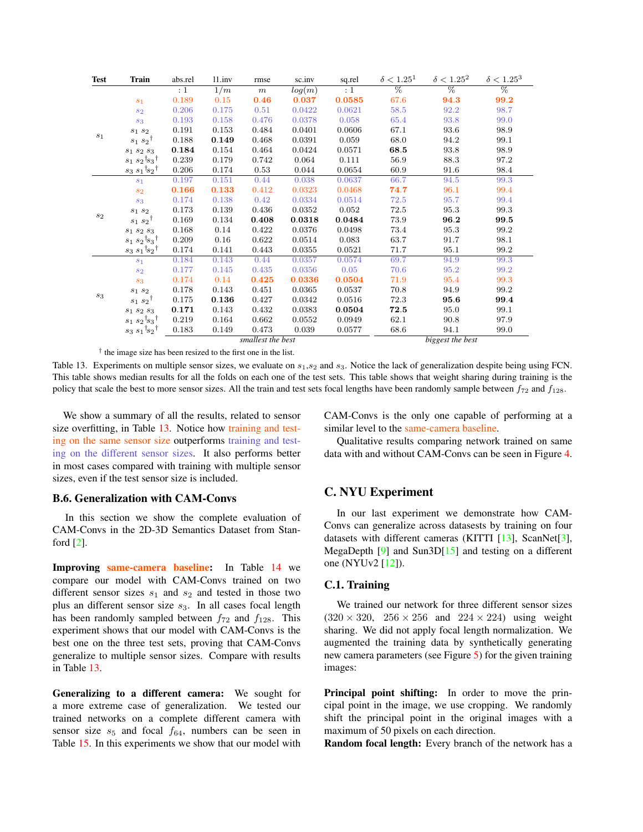<span id="page-7-1"></span>

| <b>Test</b> | <b>Train</b>                              | abs.rel | 11.inv            | rmse             | sc.inv | sq.rel   | $\delta < 1.25^1$ | $\delta < 1.25^2$ | $\delta < 1.25^3$ |
|-------------|-------------------------------------------|---------|-------------------|------------------|--------|----------|-------------------|-------------------|-------------------|
|             |                                           | :1      | 1/m               | m                | log(m) | $\div 1$ | $\overline{\%}$   | $\overline{\%}$   | $\overline{\%}$   |
|             | s <sub>1</sub>                            | 0.189   | 0.15              | 0.46             | 0.037  | 0.0585   | 67.6              | 94.3              | 99.2              |
|             | $s_2$                                     | 0.206   | 0.175             | 0.51             | 0.0422 | 0.0621   | 58.5              | 92.2              | 98.7              |
|             | $s_3$                                     | 0.193   | 0.158             | 0.476            | 0.0378 | 0.058    | 65.4              | 93.8              | 99.0              |
|             | $S_1$ $S_2$                               | 0.191   | 0.153             | 0.484            | 0.0401 | 0.0606   | 67.1              | 93.6              | 98.9              |
| $s_1$       | $s_1 s_2$ <sup>†</sup>                    | 0.188   | 0.149             | 0.468            | 0.0391 | 0.059    | 68.0              | 94.2              | 99.1              |
|             | $S_1 S_2 S_3$                             | 0.184   | 0.154             | 0.464            | 0.0424 | 0.0571   | 68.5              | 93.8              | 98.9              |
|             | $s_1 s_2$ <sup>t</sup> $s_3$ <sup>†</sup> | 0.239   | 0.179             | 0.742            | 0.064  | 0.111    | 56.9              | 88.3              | 97.2              |
|             | $s_3 s_1$ <sup>†</sup> $s_2$ <sup>†</sup> | 0.206   | 0.174             | 0.53             | 0.044  | 0.0654   | 60.9              | 91.6              | 98.4              |
|             | $s_1$                                     | 0.197   | 0.151             | 0.44             | 0.038  | 0.0637   | 66.7              | 94.5              | 99.3              |
|             | $s_{2}$                                   | 0.166   | 0.133             | 0.412            | 0.0323 | 0.0468   | 74.7              | 96.1              | 99.4              |
|             | $s_3$                                     | 0.174   | 0.138             | 0.42             | 0.0334 | 0.0514   | 72.5              | 95.7              | 99.4              |
| $s_2$       | $s_1$ $s_2$                               | 0.173   | 0.139             | 0.436            | 0.0352 | 0.052    | 72.5              | 95.3              | 99.3              |
|             | $s_1 s_2$ <sup>†</sup>                    | 0.169   | 0.134             | 0.408            | 0.0318 | 0.0484   | 73.9              | 96.2              | 99.5              |
|             | $s_1 s_2 s_3$                             | 0.168   | 0.14              | 0.422            | 0.0376 | 0.0498   | 73.4              | 95.3              | 99.2              |
|             | $s_1 s_2$ <sup>t</sup> $s_3$ <sup>†</sup> | 0.209   | 0.16              | 0.622            | 0.0514 | 0.083    | 63.7              | 91.7              | 98.1              |
|             | $s_3 s_1$ <sup>†</sup> $s_2$ †            | 0.174   | 0.141             | 0.443            | 0.0355 | 0.0521   | 71.7              | 95.1              | 99.2              |
|             | $s_1$                                     | 0.184   | 0.143             | 0.44             | 0.0357 | 0.0574   | 69.7              | 94.9              | 99.3              |
|             | $s_{2}$                                   | 0.177   | 0.145             | 0.435            | 0.0356 | 0.05     | 70.6              | 95.2              | 99.2              |
|             | $s_3$                                     | 0.174   | 0.14              | 0.425            | 0.0336 | 0.0504   | 71.9              | 95.4              | 99.3              |
| $s_3$       | $s_1$ $s_2$                               | 0.178   | 0.143             | 0.451            | 0.0365 | 0.0537   | 70.8              | 94.9              | 99.2              |
|             | $s_1 s_2$ <sup>†</sup>                    | 0.175   | 0.136             | 0.427            | 0.0342 | 0.0516   | 72.3              | 95.6              | 99.4              |
|             | $s_1 s_2 s_3$                             | 0.171   | 0.143             | 0.432            | 0.0383 | 0.0504   | 72.5              | 95.0              | 99.1              |
|             | $s_1 s_2$ <sup>†</sup> $s_3$ <sup>†</sup> | 0.219   | 0.164             | 0.662            | 0.0552 | 0.0949   | 62.1              | 90.8              | 97.9              |
|             | $s_3 s_1$ <sup>†</sup> $s_2$ <sup>†</sup> | 0.183   | 0.149             | 0.473            | 0.039  | 0.0577   | 68.6              | 94.1              | 99.0              |
|             |                                           |         | smallest the best | biggest the best |        |          |                   |                   |                   |

<span id="page-7-0"></span>Table 13. Experiments on multiple sensor sizes, we evaluate on  $s_1$ ,  $s_2$  and  $s_3$ . Notice the lack of generalization despite being using FCN. This table shows median results for all the folds on each one of the test sets. This table shows that weight sharing during training is the policy that scale the best to more sensor sizes. All the train and test sets focal lengths have been randomly sample between  $f_{72}$  and  $f_{128}$ .

We show a summary of all the results, related to sensor size overfitting, in Table [13.](#page-7-0) Notice how training and testing on the same sensor size outperforms training and testing on the different sensor sizes. It also performs better in most cases compared with training with multiple sensor sizes, even if the test sensor size is included.

## B.6. Generalization with CAM-Convs

In this section we show the complete evaluation of CAM-Convs in the 2D-3D Semantics Dataset from Stanford [\[2\]](#page-8-6).

Improving same-camera baseline: In Table [14](#page-8-7) we compare our model with CAM-Convs trained on two different sensor sizes  $s_1$  and  $s_2$  and tested in those two plus an different sensor size  $s_3$ . In all cases focal length has been randomly sampled between  $f_{72}$  and  $f_{128}$ . This experiment shows that our model with CAM-Convs is the best one on the three test sets, proving that CAM-Convs generalize to multiple sensor sizes. Compare with results in Table [13.](#page-7-0)

Generalizing to a different camera: We sought for a more extreme case of generalization. We tested our trained networks on a complete different camera with sensor size  $s_5$  and focal  $f_{64}$ , numbers can be seen in Table [15.](#page-9-2) In this experiments we show that our model with

CAM-Convs is the only one capable of performing at a similar level to the same-camera baseline.

Qualitative results comparing network trained on same data with and without CAM-Convs can be seen in Figure [4.](#page-10-1)

# C. NYU Experiment

In our last experiment we demonstrate how CAM-Convs can generalize across datasests by training on four datasets with different cameras (KITTI [\[13\]](#page-9-3), ScanNet[\[3\]](#page-8-8), MegaDepth  $[9]$  and Sun3D $[15]$  and testing on a different one (NYUv2 [\[12\]](#page-9-4)).

#### C.1. Training

We trained our network for three different sensor sizes  $(320 \times 320, 256 \times 256 \text{ and } 224 \times 224)$  using weight sharing. We did not apply focal length normalization. We augmented the training data by synthetically generating new camera parameters (see Figure [5\)](#page-11-0) for the given training images:

Principal point shifting: In order to move the principal point in the image, we use cropping. We randomly shift the principal point in the original images with a maximum of 50 pixels on each direction.

Random focal length: Every branch of the network has a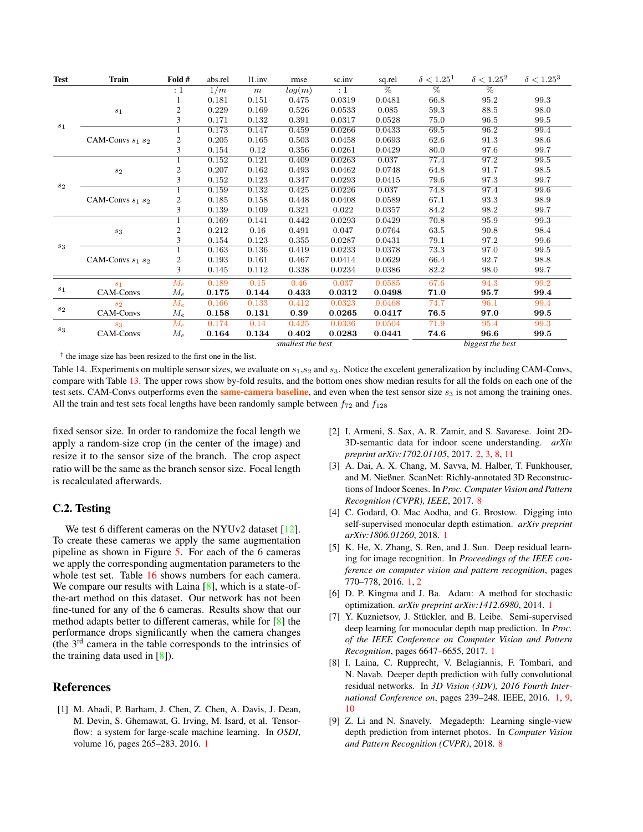<span id="page-8-10"></span>

| <b>Test</b>  | <b>Train</b>          | Fold #               | abs.rel | 11.inv | rmse              | sc.inv           | sq.rel          | $\delta < 1.25^1$ | $\delta < 1.25^2$ | $\delta < 1.25^3$ |
|--------------|-----------------------|----------------------|---------|--------|-------------------|------------------|-----------------|-------------------|-------------------|-------------------|
|              |                       | $\cdot$ 1            | 1/m     | $\,m$  | log(m)            | :1               | $\overline{\%}$ | $\overline{\%}$   | $\overline{\%}$   |                   |
|              |                       |                      | 0.181   | 0.151  | 0.475             | 0.0319           | 0.0481          | 66.8              | 95.2              | 99.3              |
|              | $s_1$                 | $\mathfrak{2}$       | 0.229   | 0.169  | 0.526             | 0.0533           | 0.085           | 59.3              | 88.5              | 98.0              |
|              |                       | 3                    | 0.171   | 0.132  | 0.391             | 0.0317           | 0.0528          | 75.0              | 96.5              | 99.5              |
| $s_1$        |                       |                      | 0.173   | 0.147  | 0.459             | 0.0266           | 0.0433          | 69.5              | 96.2              | 99.4              |
|              | CAM-Convs $s_1$ $s_2$ | 2                    | 0.205   | 0.165  | 0.503             | 0.0458           | 0.0693          | 62.6              | 91.3              | 98.6              |
|              |                       | 3                    | 0.154   | 0.12   | 0.356             | 0.0261           | 0.0429          | 80.0              | 97.6              | 99.7              |
|              |                       |                      | 0.152   | 0.121  | 0.409             | 0.0263           | 0.037           | 77.4              | 97.2              | 99.5              |
|              | $s_2$                 | $\boldsymbol{2}$     | 0.207   | 0.162  | 0.493             | 0.0462           | 0.0748          | 64.8              | 91.7              | 98.5              |
|              |                       | 3                    | 0.152   | 0.123  | 0.347             | 0.0293           | 0.0415          | 79.6              | 97.3              | 99.7              |
| $s_2$        |                       |                      | 0.159   | 0.132  | 0.425             | 0.0226           | 0.037           | 74.8              | 97.4              | 99.6              |
|              | CAM-Convs $s_1$ $s_2$ | $\mathfrak{2}$       | 0.185   | 0.158  | 0.448             | 0.0408           | 0.0589          | 67.1              | 93.3              | 98.9              |
|              |                       | 3                    | 0.139   | 0.109  | 0.321             | 0.022            | 0.0357          | 84.2              | 98.2              | 99.7              |
|              |                       |                      | 0.169   | 0.141  | 0.442             | 0.0293           | 0.0429          | 70.8              | 95.9              | 99.3              |
|              | $^{\rm s}$            | $\mathfrak{2}$       | 0.212   | 0.16   | 0.491             | 0.047            | 0.0764          | 63.5              | 90.8              | 98.4              |
|              |                       | 3                    | 0.154   | 0.123  | 0.355             | 0.0287           | 0.0431          | 79.1              | 97.2              | 99.6              |
| $\sqrt{s_3}$ |                       |                      | 0.163   | 0.136  | 0.419             | 0.0233           | 0.0378          | 73.3              | 97.0              | 99.5              |
|              | CAM-Convs $s_1$ $s_2$ | 2                    | 0.193   | 0.161  | 0.467             | 0.0414           | 0.0629          | 66.4              | 92.7              | 98.8              |
|              |                       | 3                    | 0.145   | 0.112  | 0.338             | 0.0234           | 0.0386          | 82.2              | 98.0              | 99.7              |
|              | $s_1$                 | $M_e$                | 0.189   | 0.15   | 0.46              | 0.037            | 0.0585          | 67.6              | 94.3              | 99.2              |
| $s_1$        | CAM-Convs             | $M_e$                | 0.175   | 0.144  | 0.433             | 0.0312           | 0.0498          | 71.0              | 95.7              | 99.4              |
| $s_2$        | $s_2$                 | $M_e$                | 0.166   | 0.133  | 0.412             | 0.0323           | 0.0468          | 74.7              | 96.1              | 99.4              |
|              | CAM-Convs             | $M_e$                | 0.158   | 0.131  | 0.39              | 0.0265           | 0.0417          | 76.5              | 97.0              | 99.5              |
| $\sqrt{s_3}$ | $s_3$                 | $M_{\boldsymbol{e}}$ | 0.174   | 0.14   | 0.425             | 0.0336           | 0.0504          | 71.9              | 95.4              | 99.3              |
|              | CAM-Convs             | $M_e$                | 0.164   | 0.134  | 0.402             | 0.0283           | 0.0441          | 74.6              | 96.6              | 99.5              |
|              |                       |                      |         |        | smallest the best | biggest the best |                 |                   |                   |                   |

<span id="page-8-7"></span>Table 14. .Experiments on multiple sensor sizes, we evaluate on  $s_1, s_2$  and  $s_3$ . Notice the excelent generalization by including CAM-Convs, compare with Table [13.](#page-7-0) The upper rows show by-fold results, and the bottom ones show median results for all the folds on each one of the test sets. CAM-Convs outperforms even the **same-camera baseline**, and even when the test sensor size  $s_3$  is not among the training ones. All the train and test sets focal lengths have been randomly sample between  $f_{72}$  and  $f_{128}$ 

fixed sensor size. In order to randomize the focal length we apply a random-size crop (in the center of the image) and resize it to the sensor size of the branch. The crop aspect ratio will be the same as the branch sensor size. Focal length is recalculated afterwards.

# C.2. Testing

We test 6 different cameras on the NYUv2 dataset [\[12\]](#page-9-4). To create these cameras we apply the same augmentation pipeline as shown in Figure [5.](#page-11-0) For each of the 6 cameras we apply the corresponding augmentation parameters to the whole test set. Table [16](#page-9-5) shows numbers for each camera. We compare our results with Laina [\[8\]](#page-8-0), which is a state-ofthe-art method on this dataset. Our network has not been fine-tuned for any of the 6 cameras. Results show that our method adapts better to different cameras, while for [\[8\]](#page-8-0) the performance drops significantly when the camera changes (the 3rd camera in the table corresponds to the intrinsics of the training data used in [\[8\]](#page-8-0)).

# **References**

<span id="page-8-4"></span>[1] M. Abadi, P. Barham, J. Chen, Z. Chen, A. Davis, J. Dean, M. Devin, S. Ghemawat, G. Irving, M. Isard, et al. Tensorflow: a system for large-scale machine learning. In *OSDI*, volume 16, pages 265–283, 2016. [1](#page-0-1)

- <span id="page-8-6"></span>[2] I. Armeni, S. Sax, A. R. Zamir, and S. Savarese. Joint 2D-3D-semantic data for indoor scene understanding. *arXiv preprint arXiv:1702.01105*, 2017. [2,](#page-1-4) [3,](#page-2-4) [8,](#page-7-1) [11](#page-10-3)
- <span id="page-8-8"></span>[3] A. Dai, A. X. Chang, M. Savva, M. Halber, T. Funkhouser, and M. Nießner. ScanNet: Richly-annotated 3D Reconstructions of Indoor Scenes. In *Proc. Computer Vision and Pattern Recognition (CVPR), IEEE*, 2017. [8](#page-7-1)
- <span id="page-8-3"></span>[4] C. Godard, O. Mac Aodha, and G. Brostow. Digging into self-supervised monocular depth estimation. *arXiv preprint arXiv:1806.01260*, 2018. [1](#page-0-1)
- <span id="page-8-2"></span>[5] K. He, X. Zhang, S. Ren, and J. Sun. Deep residual learning for image recognition. In *Proceedings of the IEEE conference on computer vision and pattern recognition*, pages 770–778, 2016. [1,](#page-0-1) [2](#page-1-4)
- <span id="page-8-5"></span>[6] D. P. Kingma and J. Ba. Adam: A method for stochastic optimization. *arXiv preprint arXiv:1412.6980*, 2014. [1](#page-0-1)
- <span id="page-8-1"></span>[7] Y. Kuznietsov, J. Stückler, and B. Leibe. Semi-supervised deep learning for monocular depth map prediction. In *Proc. of the IEEE Conference on Computer Vision and Pattern Recognition*, pages 6647–6655, 2017. [1](#page-0-1)
- <span id="page-8-0"></span>[8] I. Laina, C. Rupprecht, V. Belagiannis, F. Tombari, and N. Navab. Deeper depth prediction with fully convolutional residual networks. In *3D Vision (3DV), 2016 Fourth International Conference on*, pages 239–248. IEEE, 2016. [1,](#page-0-1) [9,](#page-8-10) [10](#page-9-6)
- <span id="page-8-9"></span>[9] Z. Li and N. Snavely. Megadepth: Learning single-view depth prediction from internet photos. In *Computer Vision and Pattern Recognition (CVPR)*, 2018. [8](#page-7-1)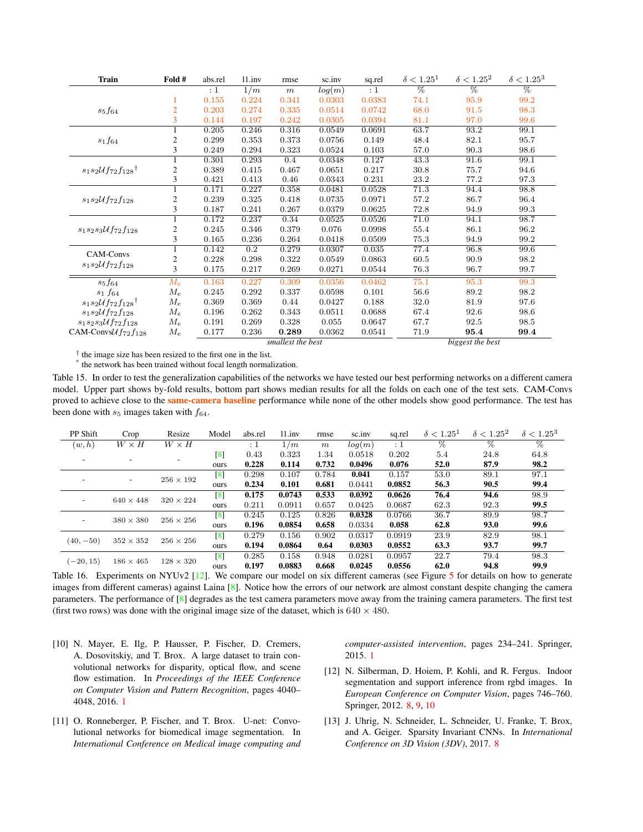<span id="page-9-6"></span>

| <b>Train</b>                               | Fold #         | abs.rel  | 11.inv           | rmse              | sc.inv | sq.rel | $\delta < 1.25^1$ | $\delta < 1.25^2$ | $\delta < 1.25^3$ |
|--------------------------------------------|----------------|----------|------------------|-------------------|--------|--------|-------------------|-------------------|-------------------|
|                                            |                | $\div 1$ | 1/m              | m                 | log(m) | :1     | $\overline{\%}$   | $\overline{\%}$   | $\overline{\%}$   |
|                                            |                | 0.155    | 0.224            | 0.341             | 0.0303 | 0.0383 | 74.1              | 95.9              | 99.2              |
| $s_5f_{64}$                                | $\overline{2}$ | 0.203    | 0.274            | 0.335             | 0.0514 | 0.0742 | 68.0              | 91.5              | 98.3              |
|                                            | 3              | 0.144    | 0.197            | 0.242             | 0.0305 | 0.0394 | 81.1              | 97.0              | 99.6              |
|                                            |                | 0.205    | 0.246            | 0.316             | 0.0549 | 0.0691 | 63.7              | 93.2              | 99.1              |
| $s_1f_{64}$                                | 2              | 0.299    | 0.353            | 0.373             | 0.0756 | 0.149  | 48.4              | 82.1              | 95.7              |
|                                            | 3              | 0.249    | 0.294            | 0.323             | 0.0524 | 0.103  | 57.0              | 90.3              | 98.6              |
|                                            |                | 0.301    | 0.293            | 0.4               | 0.0348 | 0.127  | 43.3              | 91.6              | 99.1              |
| $s_1s_2\mathcal{U}f_{72}f_{128}^{\dagger}$ | 2              | 0.389    | 0.415            | 0.467             | 0.0651 | 0.217  | 30.8              | 75.7              | 94.6              |
|                                            | 3              | 0.421    | 0.413            | 0.46              | 0.0343 | 0.231  | 23.2              | 77.2              | 97.3              |
|                                            |                | 0.171    | 0.227            | 0.358             | 0.0481 | 0.0528 | 71.3              | 94.4              | 98.8              |
| $s_1s_2\mathcal{U}f_{72}f_{128}$           | 2              | 0.239    | 0.325            | 0.418             | 0.0735 | 0.0971 | 57.2              | 86.7              | 96.4              |
|                                            | 3              | 0.187    | 0.241            | 0.267             | 0.0379 | 0.0625 | 72.8              | 94.9              | 99.3              |
|                                            |                | 0.172    | 0.237            | 0.34              | 0.0525 | 0.0526 | 71.0              | 94.1              | 98.7              |
| $s_1s_2s_3\mathcal{U}f_{72}f_{128}$        | 2              | 0.245    | 0.346            | 0.379             | 0.076  | 0.0998 | 55.4              | 86.1              | 96.2              |
|                                            | 3              | 0.165    | 0.236            | 0.264             | 0.0418 | 0.0509 | 75.3              | 94.9              | 99.2              |
| CAM-Convs                                  | 1              | 0.142    | $\overline{0.2}$ | 0.279             | 0.0307 | 0.035  | 77.4              | 96.8              | 99.6              |
|                                            | $\overline{c}$ | 0.228    | 0.298            | 0.322             | 0.0549 | 0.0863 | 60.5              | 90.9              | 98.2              |
| $s_1s_2\mathcal{U}f_{72}f_{128}$           | 3              | 0.175    | 0.217            | 0.269             | 0.0271 | 0.0544 | 76.3              | 96.7              | 99.7              |
| $s_5f_{64}$                                | $M_e$          | 0.163    | 0.227            | 0.309             | 0.0356 | 0.0462 | 75.1              | 95.3              | 99.3              |
| $s_1$ $f_{64}$                             | $M_e$          | 0.245    | 0.292            | 0.337             | 0.0598 | 0.101  | 56.6              | 89.2              | 98.2              |
| $s_1s_2\mathcal{U}f_{72}f_{128}$           | $M_e$          | 0.369    | 0.369            | 0.44              | 0.0427 | 0.188  | 32.0              | 81.9              | 97.6              |
| $s_1s_2\mathcal{U}f_{72}f_{128}$           | $M_e$          | 0.196    | 0.262            | 0.343             | 0.0511 | 0.0688 | 67.4              | 92.6              | 98.6              |
| $s_1s_2s_3\mathcal{U}f_{72}f_{128}$        | $M_e$          | 0.191    | 0.269            | 0.328             | 0.055  | 0.0647 | 67.7              | 92.5              | 98.5              |
| CAM-Convs $\mathcal{U}f_{72}f_{128}$       | $M_e$          | 0.177    | 0.236            | 0.289             | 0.0362 | 0.0541 | 71.9              | 95.4              | 99.4              |
|                                            |                |          |                  | smallest the best |        |        | biggest the best  |                   |                   |

<span id="page-9-2"></span>\* the network has been trained without focal length normalization.

Table 15. In order to test the generalization capabilities of the networks we have tested our best performing networks on a different camera model. Upper part shows by-fold results, bottom part shows median results for all the folds on each one of the test sets. CAM-Convs proved to achieve close to the same-camera baseline performance while none of the other models show good performance. The test has been done with  $s_5$  images taken with  $f_{64}$ .

| PP Shift                 | Crop                     | Resize           | Model             | abs.rel  | 11.inv | rmse             | sc.inv | sq.rel     | $\delta < 1.25^{\perp}$ | $\delta < 1.25^2$ | $\delta < 1.25^3$ |
|--------------------------|--------------------------|------------------|-------------------|----------|--------|------------------|--------|------------|-------------------------|-------------------|-------------------|
| (w,h)                    | $W \times H$             | $W \times H$     |                   | $\div 1$ | 1/m    | $\boldsymbol{m}$ | log(m) | $\colon 1$ | $\%$                    | $\overline{\%}$   | %                 |
|                          |                          |                  | $\lceil 8 \rceil$ | 0.43     | 0.323  | 1.34             | 0.0518 | 0.202      | 5.4                     | 24.8              | 64.8              |
|                          |                          |                  | ours              | 0.228    | 0.114  | 0.732            | 0.0496 | 0.076      | 52.0                    | 87.9              | 98.2              |
|                          | $\overline{\phantom{a}}$ | $256 \times 192$ | $\lceil 8 \rceil$ | 0.298    | 0.107  | 0.784            | 0.041  | 0.157      | 53.0                    | 89.1              | 97.1              |
|                          |                          |                  | ours              | 0.234    | 0.101  | 0.681            | 0.0441 | 0.0852     | 56.3                    | 90.5              | 99.4              |
|                          | $640 \times 448$         | $320 \times 224$ | $\lceil 8 \rceil$ | 0.175    | 0.0743 | 0.533            | 0.0392 | 0.0626     | 76.4                    | 94.6              | 98.9              |
| $\overline{\phantom{a}}$ |                          |                  | ours              | 0.211    | 0.0911 | 0.657            | 0.0425 | 0.0687     | 62.3                    | 92.3              | 99.5              |
|                          | $380 \times 380$         | $256 \times 256$ | $\lceil 8 \rceil$ | 0.245    | 0.125  | 0.826            | 0.0328 | 0.0766     | 36.7                    | 89.9              | 98.7              |
| $\overline{\phantom{a}}$ |                          |                  | ours              | 0.196    | 0.0854 | 0.658            | 0.0334 | 0.058      | 62.8                    | 93.0              | 99.6              |
|                          | $352 \times 352$         |                  | $\lceil 8 \rceil$ | 0.279    | 0.156  | 0.902            | 0.0317 | 0.0919     | 23.9                    | 82.9              | 98.1              |
| $(40, -50)$              |                          | $256 \times 256$ | ours              | 0.194    | 0.0864 | 0.64             | 0.0303 | 0.0552     | 63.3                    | 93.7              | 99.7              |
| $(-20, 15)$              |                          |                  | $\lceil 8 \rceil$ | 0.285    | 0.158  | 0.948            | 0.0281 | 0.0957     | 22.7                    | 79.4              | 98.3              |
|                          | $186 \times 465$         | $128 \times 320$ | ours              | 0.197    | 0.0883 | 0.668            | 0.0245 | 0.0556     | 62.0                    | 94.8              | 99.9              |

<span id="page-9-5"></span>Table 16. Experiments on NYUv2 [\[12\]](#page-9-4). We compare our model on six different cameras (see Figure [5](#page-11-0) for details on how to generate images from different cameras) against Laina  $[8]$ . Notice how the errors of our network are almost constant despite changing the camera parameters. The performance of [\[8\]](#page-8-0) degrades as the test camera parameters move away from the training camera parameters. The first test (first two rows) was done with the original image size of the dataset, which is  $640 \times 480$ .

- <span id="page-9-0"></span>[10] N. Mayer, E. Ilg, P. Hausser, P. Fischer, D. Cremers, A. Dosovitskiy, and T. Brox. A large dataset to train convolutional networks for disparity, optical flow, and scene flow estimation. In *Proceedings of the IEEE Conference on Computer Vision and Pattern Recognition*, pages 4040– 4048, 2016. [1](#page-0-1)
- <span id="page-9-1"></span>[11] O. Ronneberger, P. Fischer, and T. Brox. U-net: Convolutional networks for biomedical image segmentation. In *International Conference on Medical image computing and*

*computer-assisted intervention*, pages 234–241. Springer, 2015. [1](#page-0-1)

- <span id="page-9-4"></span>[12] N. Silberman, D. Hoiem, P. Kohli, and R. Fergus. Indoor segmentation and support inference from rgbd images. In *European Conference on Computer Vision*, pages 746–760. Springer, 2012. [8,](#page-7-1) [9,](#page-8-10) [10](#page-9-6)
- <span id="page-9-3"></span>[13] J. Uhrig, N. Schneider, L. Schneider, U. Franke, T. Brox, and A. Geiger. Sparsity Invariant CNNs. In *International Conference on 3D Vision (3DV)*, 2017. [8](#page-7-1)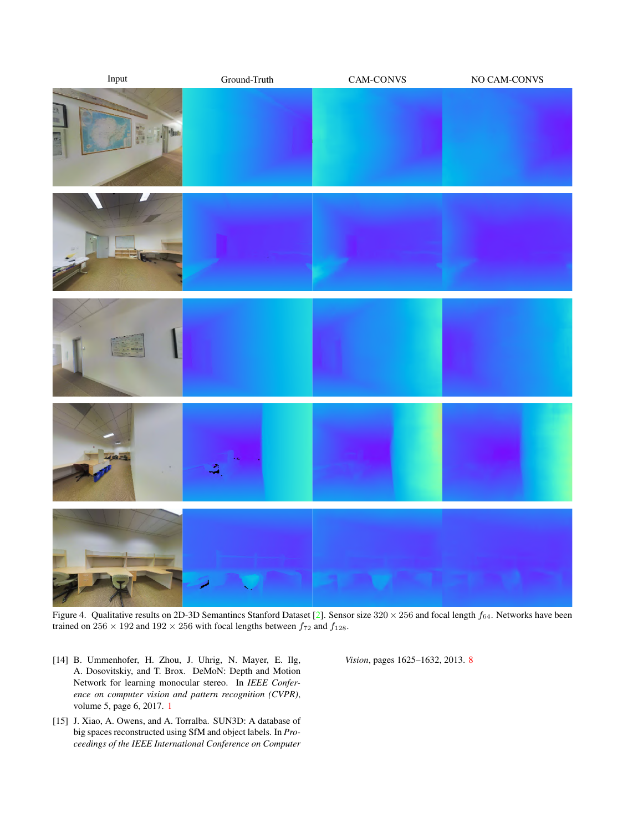<span id="page-10-3"></span>

Figure 4. Qualitative results on 2D-3D Semantincs Stanford Dataset [\[2\]](#page-8-6). Sensor size  $320 \times 256$  and focal length  $f_{64}$ . Networks have been trained on  $256 \times 192$  and  $192 \times 256$  with focal lengths between  $f_{72}$  and  $f_{128}$ .

- <span id="page-10-1"></span><span id="page-10-0"></span>[14] B. Ummenhofer, H. Zhou, J. Uhrig, N. Mayer, E. Ilg, A. Dosovitskiy, and T. Brox. DeMoN: Depth and Motion Network for learning monocular stereo. In *IEEE Conference on computer vision and pattern recognition (CVPR)*, volume 5, page 6, 2017. [1](#page-0-1)
- <span id="page-10-2"></span>[15] J. Xiao, A. Owens, and A. Torralba. SUN3D: A database of big spaces reconstructed using SfM and object labels. In *Proceedings of the IEEE International Conference on Computer*

*Vision*, pages 1625–1632, 2013. [8](#page-7-1)